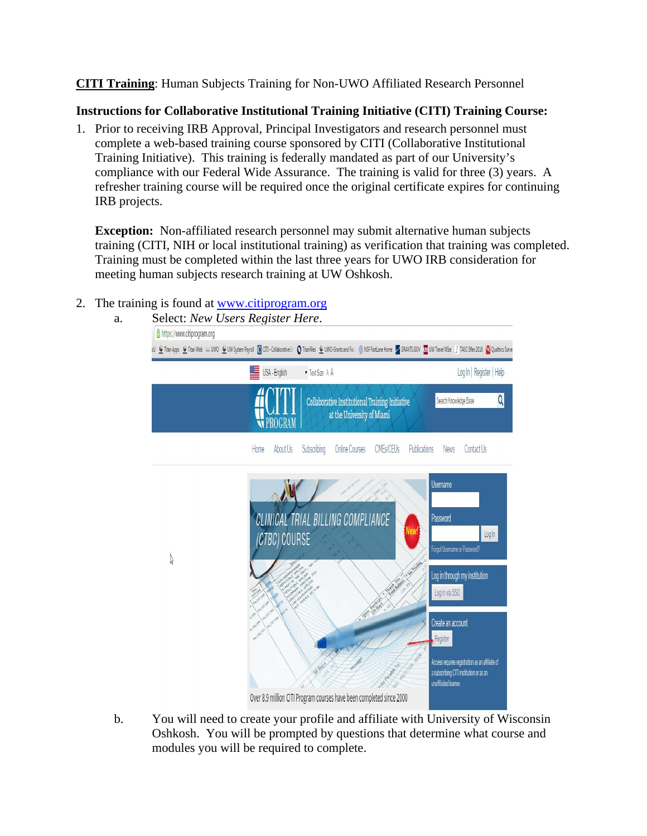**CITI Training**: Human Subjects Training for Non-UWO Affiliated Research Personnel

## **Instructions for Collaborative Institutional Training Initiative (CITI) Training Course:**

1. Prior to receiving IRB Approval, Principal Investigators and research personnel must complete a web-based training course sponsored by CITI (Collaborative Institutional Training Initiative). This training is federally mandated as part of our University's compliance with our Federal Wide Assurance. The training is valid for three (3) years. A refresher training course will be required once the original certificate expires for continuing IRB projects.

**Exception:** Non-affiliated research personnel may submit alternative human subjects training (CITI, NIH or local institutional training) as verification that training was completed. Training must be completed within the last three years for UWO IRB consideration for meeting human subjects research training at UW Oshkosh.

- 2. The training is found at [www.citiprogram.org](http://www.citiprogram.org/)
	- a. Select: *New Users Register Here*. https://www.citiprogram.org 30 Chan Apps C Tran Web == UNO C UW System Payroll C CITI-Collaborative In C TranFiles C UNO-Grants and Fac. @ NSF FastLane Home 2 GRANTS.GOV EN UN Travel Was | TASCERev2016 N Qualtrics Surve  $\equiv$  USA - English • Text Size: A A Log In | Register | Help  $\overline{Q}$ Search Knowledge Base Collaborative Institutional Training Initiative at the University of Miami **W** PROGRAM Home About Us Subscribing Online Courses CMEs/CEUs Publications News Contact Us **Jsername** CLINICAL TRIAL BILLING COMPLIANCE Password  $Log ln$ (CTBC) COURSE orgot Username or Password?  $\sqrt{ }$ og in through my institution Log in via SSO Create an account Register ccess requires registration as an affiliate of a subscribing CITI institution or as an unaffiliated learner. Over 8.9 million CITI Program courses have been completed since 2000
	- b. You will need to create your profile and affiliate with University of Wisconsin Oshkosh. You will be prompted by questions that determine what course and modules you will be required to complete.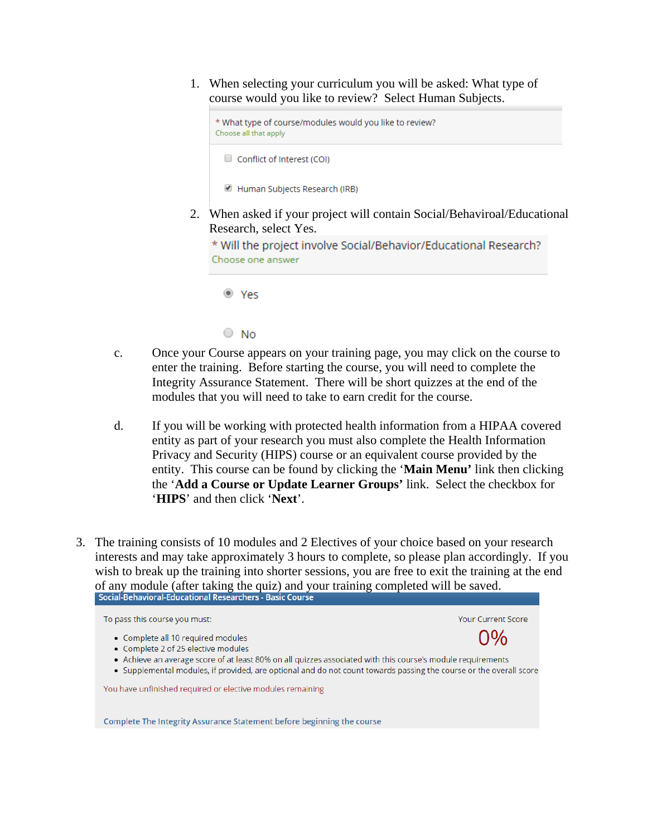1. When selecting your curriculum you will be asked: What type of course would you like to review? Select Human Subjects.

```
* What type of course/modules would you like to review?
Choose all that apply
```
Conflict of Interest (COI)

Human Subjects Research (IRB)

2. When asked if your project will contain Social/Behaviroal/Educational Research, select Yes.

\* Will the project involve Social/Behavior/Educational Research? Choose one answer

● Yes

 $\circ$  No

- c. Once your Course appears on your training page, you may click on the course to enter the training. Before starting the course, you will need to complete the Integrity Assurance Statement. There will be short quizzes at the end of the modules that you will need to take to earn credit for the course.
- d. If you will be working with protected health information from a HIPAA covered entity as part of your research you must also complete the Health Information Privacy and Security (HIPS) course or an equivalent course provided by the entity. This course can be found by clicking the '**Main Menu'** link then clicking the '**Add a Course or Update Learner Groups'** link. Select the checkbox for '**HIPS**' and then click '**Next**'.
- 3. The training consists of 10 modules and 2 Electives of your choice based on your research interests and may take approximately 3 hours to complete, so please plan accordingly. If you wish to break up the training into shorter sessions, you are free to exit the training at the end of any module (after taking the quiz) and your training completed will be saved.<br>Social-Behavioral-Educational Researchers - Basic Course